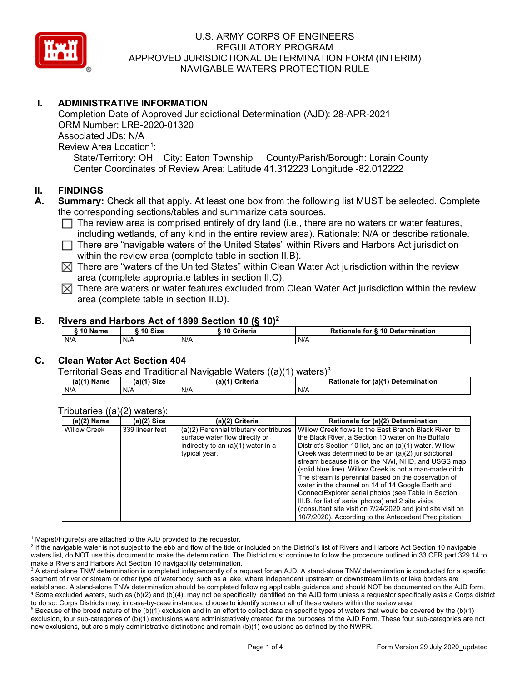

# **I. ADMINISTRATIVE INFORMATION**

Completion Date of Approved Jurisdictional Determination (AJD): 28-APR-2021 ORM Number: LRB-2020-01320 Associated JDs: N/A Review Area Location<sup>1</sup>: State/Territory: OH City: Eaton Township County/Parish/Borough: Lorain County Center Coordinates of Review Area: Latitude 41.312223 Longitude -82.012222

### **II. FINDINGS**

- **A. Summary:** Check all that apply. At least one box from the following list MUST be selected. Complete the corresponding sections/tables and summarize data sources.
	- $\Box$  The review area is comprised entirely of dry land (i.e., there are no waters or water features, including wetlands, of any kind in the entire review area). Rationale: N/A or describe rationale.
	- $\Box$  There are "navigable waters of the United States" within Rivers and Harbors Act jurisdiction within the review area (complete table in section II.B).
	- $\boxtimes$  There are "waters of the United States" within Clean Water Act jurisdiction within the review area (complete appropriate tables in section II.C).
	- $\boxtimes$  There are waters or water features excluded from Clean Water Act jurisdiction within the review area (complete table in section II.D).

#### **B. Rivers and Harbors Act of 1899 Section 10 (§ 10)2**

| $^{\circ}$ 10 Name | $^{\circ}$ 10 Size | Criteria<br>. 10 | Rationale for § 10 Determination |  |  |  |  |
|--------------------|--------------------|------------------|----------------------------------|--|--|--|--|
| N/A                | N/A                | N/A              | N/A                              |  |  |  |  |

#### **C. Clean Water Act Section 404**

Territorial Seas and Traditional Navigable Waters  $((a)(1)$  waters)<sup>3</sup>

| -<br>$(a)$ $(1)$<br>Name | (a)(1)<br><b>Size</b> | $(a)$ $(4)$<br>Criteria | <b>Rationale</b><br>for (a)(1) Determination |  |
|--------------------------|-----------------------|-------------------------|----------------------------------------------|--|
| N/A                      | N/A                   | N/F                     | N/A                                          |  |

#### Tributaries ((a)(2) waters):

| $(a)(2)$ Name       | (a)(2) Size     | (a)(2) Criteria                        | Rationale for (a)(2) Determination                          |
|---------------------|-----------------|----------------------------------------|-------------------------------------------------------------|
| <b>Willow Creek</b> | 339 linear feet | (a)(2) Perennial tributary contributes | Willow Creek flows to the East Branch Black River, to       |
|                     |                 | surface water flow directly or         | the Black River, a Section 10 water on the Buffalo          |
|                     |                 | indirectly to an (a)(1) water in a     | District's Section 10 list, and an (a)(1) water. Willow     |
|                     |                 | typical year.                          | Creek was determined to be an (a)(2) jurisdictional         |
|                     |                 |                                        | stream because it is on the NWI, NHD, and USGS map          |
|                     |                 |                                        | (solid blue line). Willow Creek is not a man-made ditch.    |
|                     |                 |                                        | The stream is perennial based on the observation of         |
|                     |                 |                                        | water in the channel on 14 of 14 Google Earth and           |
|                     |                 |                                        | ConnectExplorer aerial photos (see Table in Section         |
|                     |                 |                                        | III.B. for list of aerial photos) and 2 site visits         |
|                     |                 |                                        | (consultant site visit on 7/24/2020 and joint site visit on |
|                     |                 |                                        | 10/7/2020). According to the Antecedent Precipitation       |

 $^1$  Map(s)/Figure(s) are attached to the AJD provided to the requestor.<br><sup>2</sup> If the navigable water is not subject to the ebb and flow of the tide or

<sup>2</sup> If the navigable water is not subject to the ebb and flow of the tide or included on the District's list of Rivers and Harbors Act Section 10 navigable waters list, do NOT use this document to make the determination. The District must continue to follow the procedure outlined in 33 CFR part 329.14 to make a Rivers and Harbors Act Section 10 navigability determination.

 $^3$  A stand-alone TNW determination is completed independently of a request for an AJD. A stand-alone TNW determination is conducted for a specific segment of river or stream or other type of waterbody, such as a lake, where independent upstream or downstream limits or lake borders are established. A stand-alone TNW determination should be completed following applicable guidance and should NOT be documented on the AJD form. 4 Some excluded waters, such as (b)(2) and (b)(4), may not be specifically identified on the AJD form unless a requestor specifically asks a Corps district to do so. Corps Districts may, in case-by-case instances, choose to identify some or all of these waters within the review area. 5

<sup>5</sup> Because of the broad nature of the (b)(1) exclusion and in an effort to collect data on specific types of waters that would be covered by the (b)(1) exclusion, four sub-categories of (b)(1) exclusions were administratively created for the purposes of the AJD Form. These four sub-categories are not new exclusions, but are simply administrative distinctions and remain (b)(1) exclusions as defined by the NWPR.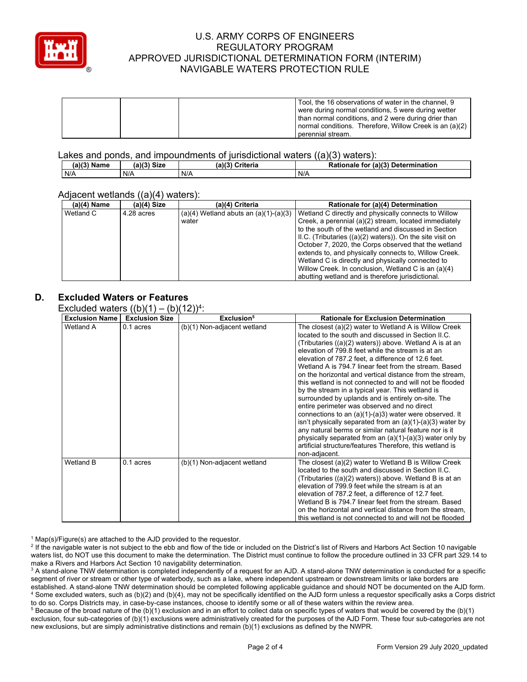

|  | Tool, the 16 observations of water in the channel, 9    |
|--|---------------------------------------------------------|
|  | were during normal conditions, 5 were during wetter     |
|  | I than normal conditions, and 2 were during drier than  |
|  | normal conditions. Therefore, Willow Creek is an (a)(2) |
|  | perennial stream.                                       |

Lakes and ponds, and impoundments of jurisdictional waters ((a)(3) waters):

| (a)(3)<br>(a)(3)<br><b>Name</b><br><b>Size</b> |  | (a)(3)<br>Criteria | Rationale<br>(a)(3) Determination<br>for |  |
|------------------------------------------------|--|--------------------|------------------------------------------|--|
| N/A<br>N/A                                     |  | N/A                | N/A                                      |  |

#### Adiacent wetlands ((a)(4) waters):

| $(a)(4)$ Name | $\cdots$<br>$(a)(4)$ Size | (a)(4) Criteria                           | Rationale for (a)(4) Determination                        |
|---------------|---------------------------|-------------------------------------------|-----------------------------------------------------------|
| Wetland C     | 4.28 acres                | $(a)(4)$ Wetland abuts an $(a)(1)-(a)(3)$ | Wetland C directly and physically connects to Willow      |
|               |                           | water                                     | Creek, a perennial (a)(2) stream, located immediately     |
|               |                           |                                           | to the south of the wetland and discussed in Section      |
|               |                           |                                           | II.C. (Tributaries ((a)(2) waters)). On the site visit on |
|               |                           |                                           | October 7, 2020, the Corps observed that the wetland      |
|               |                           |                                           | extends to, and physically connects to, Willow Creek.     |
|               |                           |                                           | Wetland C is directly and physically connected to         |
|               |                           |                                           | Willow Creek. In conclusion, Wetland C is an (a)(4)       |
|               |                           |                                           | abutting wetland and is therefore jurisdictional.         |

### **D. Excluded Waters or Features**

Excluded waters  $((b)(1) - (b)(12))^{4}$ 

| <b>Exclusion Name</b> | $\frac{1}{2}$<br><b>Exclusion Size</b> | (2)<br>Exclusion <sup>5</sup> | <b>Rationale for Exclusion Determination</b>                                                                                                                                                                                                                                                                                                                                                                                                                                                                                                                                                                                                                                                                                                                                                                                                                                                                                                                    |
|-----------------------|----------------------------------------|-------------------------------|-----------------------------------------------------------------------------------------------------------------------------------------------------------------------------------------------------------------------------------------------------------------------------------------------------------------------------------------------------------------------------------------------------------------------------------------------------------------------------------------------------------------------------------------------------------------------------------------------------------------------------------------------------------------------------------------------------------------------------------------------------------------------------------------------------------------------------------------------------------------------------------------------------------------------------------------------------------------|
| Wetland A             | 0.1 acres                              | (b)(1) Non-adjacent wetland   | The closest (a)(2) water to Wetland A is Willow Creek<br>located to the south and discussed in Section II.C.<br>(Tributaries $((a)(2)$ waters)) above. Wetland A is at an<br>elevation of 799.8 feet while the stream is at an<br>elevation of 787.2 feet, a difference of 12.6 feet.<br>Wetland A is 794.7 linear feet from the stream. Based<br>on the horizontal and vertical distance from the stream,<br>this wetland is not connected to and will not be flooded<br>by the stream in a typical year. This wetland is<br>surrounded by uplands and is entirely on-site. The<br>entire perimeter was observed and no direct<br>connections to an $(a)(1)-(a)3)$ water were observed. It<br>isn't physically separated from an $(a)(1)-(a)(3)$ water by<br>any natural berms or similar natural feature nor is it<br>physically separated from an $(a)(1)-(a)(3)$ water only by<br>artificial structure/features Therefore, this wetland is<br>non-adjacent. |
| Wetland B             | 0.1 acres                              | (b)(1) Non-adjacent wetland   | The closest (a)(2) water to Wetland B is Willow Creek<br>located to the south and discussed in Section II.C.<br>(Tributaries $((a)(2)$ waters)) above. Wetland B is at an<br>elevation of 799.9 feet while the stream is at an<br>elevation of 787.2 feet, a difference of 12.7 feet.<br>Wetland B is 794.7 linear feet from the stream. Based<br>on the horizontal and vertical distance from the stream,<br>this wetland is not connected to and will not be flooded                                                                                                                                                                                                                                                                                                                                                                                                                                                                                          |

 $^1$  Map(s)/Figure(s) are attached to the AJD provided to the requestor.<br><sup>2</sup> If the navigable water is not subject to the ebb and flow of the tide or

<sup>2</sup> If the navigable water is not subject to the ebb and flow of the tide or included on the District's list of Rivers and Harbors Act Section 10 navigable waters list, do NOT use this document to make the determination. The District must continue to follow the procedure outlined in 33 CFR part 329.14 to make a Rivers and Harbors Act Section 10 navigability determination.

 $^3$  A stand-alone TNW determination is completed independently of a request for an AJD. A stand-alone TNW determination is conducted for a specific segment of river or stream or other type of waterbody, such as a lake, where independent upstream or downstream limits or lake borders are established. A stand-alone TNW determination should be completed following applicable guidance and should NOT be documented on the AJD form. 4 <sup>4</sup> Some excluded waters, such as (b)(2) and (b)(4), may not be specifically identified on the AJD form unless a requestor specifically asks a Corps district to do so. Corps Districts may, in case-by-case instances, choose

to do so. Corps Districts may, in case-by-case instances, choose to identify some or all of these waters within the review area.<br><sup>5</sup> Because of the broad nature of the (b)(1) exclusion and in an effort to collect data on s exclusion, four sub-categories of (b)(1) exclusions were administratively created for the purposes of the AJD Form. These four sub-categories are not new exclusions, but are simply administrative distinctions and remain (b)(1) exclusions as defined by the NWPR.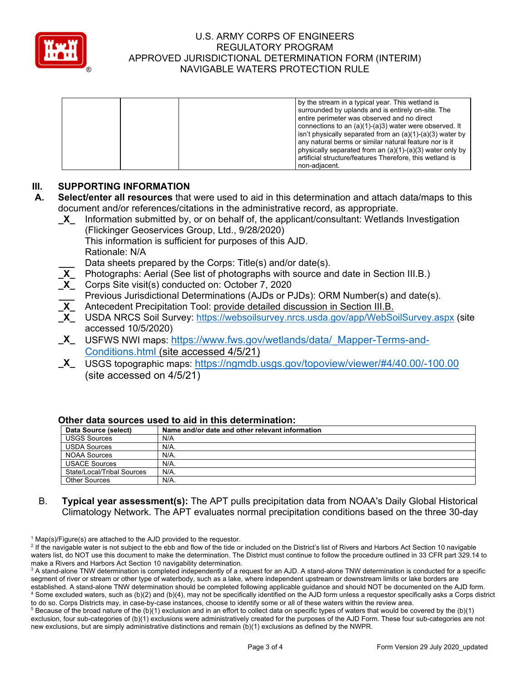

|  | by the stream in a typical year. This wetland is                   |
|--|--------------------------------------------------------------------|
|  | surrounded by uplands and is entirely on-site. The                 |
|  | entire perimeter was observed and no direct                        |
|  | connections to an $(a)(1)-(a)3)$ water were observed. It           |
|  | $\sin$ isn't physically separated from an $(a)(1)-(a)(3)$ water by |
|  | any natural berms or similar natural feature nor is it             |
|  | physically separated from an $(a)(1)-(a)(3)$ water only by         |
|  | artificial structure/features Therefore, this wetland is           |
|  | non-adiacent.                                                      |

## **III. SUPPORTING INFORMATION**

- **A. Select/enter all resources** that were used to aid in this determination and attach data/maps to this document and/or references/citations in the administrative record, as appropriate.
	- **\_X\_** Information submitted by, or on behalf of, the applicant/consultant: Wetlands Investigation (Flickinger Geoservices Group, Ltd., 9/28/2020)
		- This information is sufficient for purposes of this AJD. Rationale: N/A
		- Data sheets prepared by the Corps: Title(s) and/or date(s).
	- Photographs: Aerial (See list of photographs with source and date in Section III.B.)
	- **\_X\_** Corps Site visit(s) conducted on: October 7, 2020
	- **\_\_\_** Previous Jurisdictional Determinations (AJDs or PJDs): ORM Number(s) and date(s).
	- **\_X\_** Antecedent Precipitation Tool: provide detailed discussion in Section III.B.
	- USDA NRCS Soil Survey: https://websoilsurvey.nrcs.usda.gov/app/WebSoilSurvey.aspx (site accessed 10/5/2020)
	- **\_X\_** USFWS NWI maps: https://www.fws.gov/wetlands/data/\_Mapper-Terms-and-Conditions.html (site accessed 4/5/21)
	- **\_X\_** USGS topographic maps: https://ngmdb.usgs.gov/topoview/viewer/#4/40.00/-100.00 (site accessed on 4/5/21)

| Data Source (select)       | Name and/or date and other relevant information |  |  |  |
|----------------------------|-------------------------------------------------|--|--|--|
| <b>USGS Sources</b>        | N/A                                             |  |  |  |
| <b>USDA Sources</b>        | N/A.                                            |  |  |  |
| <b>NOAA Sources</b>        | N/A.                                            |  |  |  |
| <b>USACE Sources</b>       | N/A.                                            |  |  |  |
| State/Local/Tribal Sources | N/A.                                            |  |  |  |
| <b>Other Sources</b>       | N/A.                                            |  |  |  |

#### **Other data sources used to aid in this determination:**

B. **Typical year assessment(s):** The APT pulls precipitation data from NOAA's Daily Global Historical Climatology Network. The APT evaluates normal precipitation conditions based on the three 30-day

 $^1$  Map(s)/Figure(s) are attached to the AJD provided to the requestor.<br><sup>2</sup> If the navigable water is not subject to the ebb and flow of the tide or

<sup>&</sup>lt;sup>2</sup> If the navigable water is not subject to the ebb and flow of the tide or included on the District's list of Rivers and Harbors Act Section 10 navigable waters list, do NOT use this document to make the determination. The District must continue to follow the procedure outlined in 33 CFR part 329.14 to make a Rivers and Harbors Act Section 10 navigability determination.

 $^3$  A stand-alone TNW determination is completed independently of a request for an AJD. A stand-alone TNW determination is conducted for a specific segment of river or stream or other type of waterbody, such as a lake, where independent upstream or downstream limits or lake borders are established. A stand-alone TNW determination should be completed following applicable guidance and should NOT be documented on the AJD form. 4 Some excluded waters, such as (b)(2) and (b)(4), may not be specifically identified on the AJD form unless a requestor specifically asks a Corps district to do so. Corps Districts may, in case-by-case instances, choose to identify some or all of these waters within the review area. 5

 $5$  Because of the broad nature of the (b)(1) exclusion and in an effort to collect data on specific types of waters that would be covered by the (b)(1) exclusion, four sub-categories of (b)(1) exclusions were administratively created for the purposes of the AJD Form. These four sub-categories are not new exclusions, but are simply administrative distinctions and remain (b)(1) exclusions as defined by the NWPR.